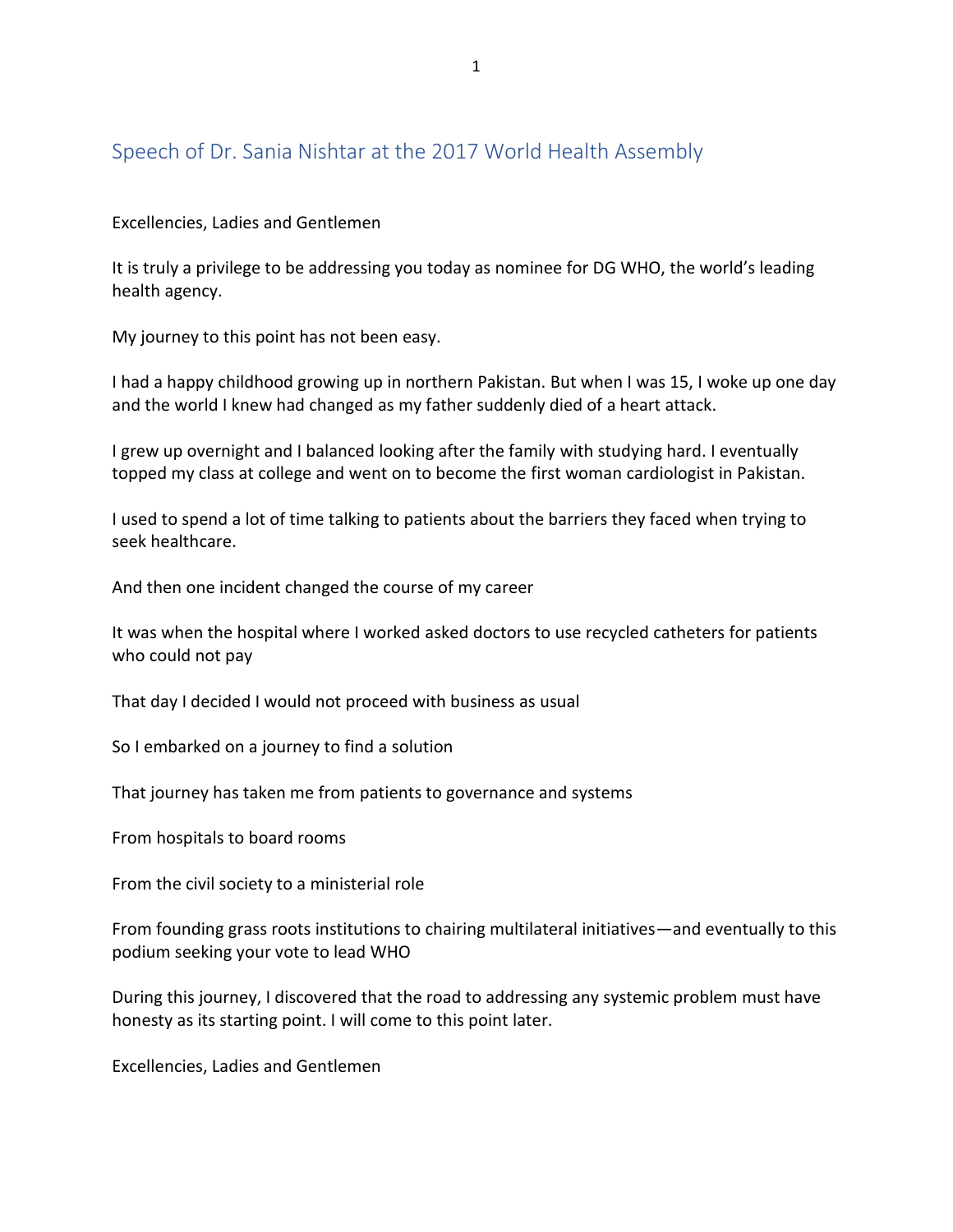## Speech of Dr. Sania Nishtar at the 2017 World Health Assembly

## Excellencies, Ladies and Gentlemen

It is truly a privilege to be addressing you today as nominee for DG WHO, the world's leading health agency.

My journey to this point has not been easy.

I had a happy childhood growing up in northern Pakistan. But when I was 15, I woke up one day and the world I knew had changed as my father suddenly died of a heart attack.

I grew up overnight and I balanced looking after the family with studying hard. I eventually topped my class at college and went on to become the first woman cardiologist in Pakistan.

I used to spend a lot of time talking to patients about the barriers they faced when trying to seek healthcare.

And then one incident changed the course of my career

It was when the hospital where I worked asked doctors to use recycled catheters for patients who could not pay

That day I decided I would not proceed with business as usual

So I embarked on a journey to find a solution

That journey has taken me from patients to governance and systems

From hospitals to board rooms

From the civil society to a ministerial role

From founding grass roots institutions to chairing multilateral initiatives—and eventually to this podium seeking your vote to lead WHO

During this journey, I discovered that the road to addressing any systemic problem must have honesty as its starting point. I will come to this point later.

Excellencies, Ladies and Gentlemen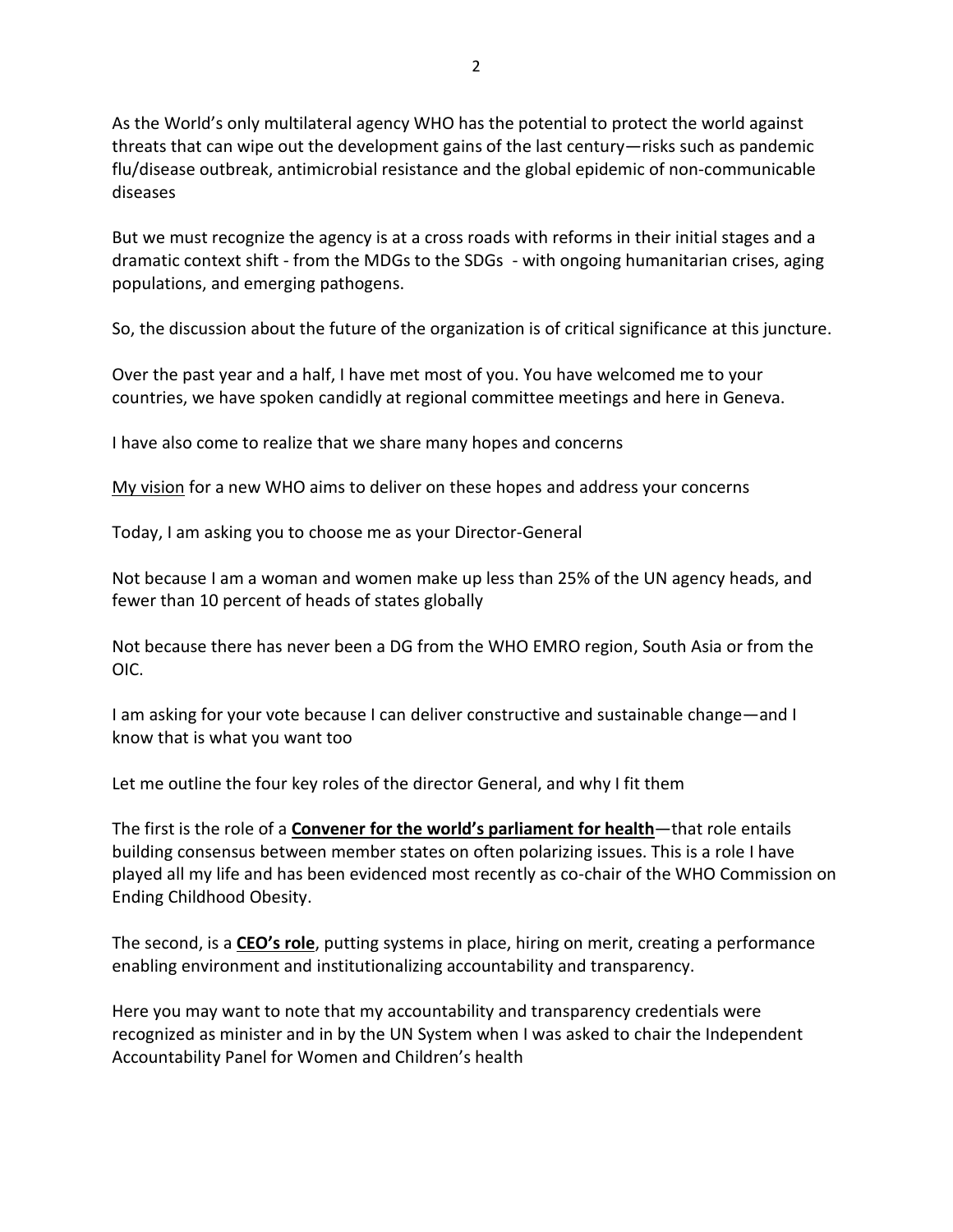As the World's only multilateral agency WHO has the potential to protect the world against threats that can wipe out the development gains of the last century—risks such as pandemic flu/disease outbreak, antimicrobial resistance and the global epidemic of non-communicable diseases

But we must recognize the agency is at a cross roads with reforms in their initial stages and a dramatic context shift - from the MDGs to the SDGs - with ongoing humanitarian crises, aging populations, and emerging pathogens.

So, the discussion about the future of the organization is of critical significance at this juncture.

Over the past year and a half, I have met most of you. You have welcomed me to your countries, we have spoken candidly at regional committee meetings and here in Geneva.

I have also come to realize that we share many hopes and concerns

[My vision](http://www.sanianishtar.info/manifesto/) for a new WHO aims to deliver on these hopes and address your concerns

Today, I am asking you to choose me as your Director-General

Not because I am a woman and women make up less than 25% of the UN agency heads, and fewer than 10 percent of heads of states globally

Not because there has never been a DG from the WHO EMRO region, South Asia or from the OIC.

I am asking for your vote because I can deliver constructive and sustainable change—and I know that is what you want too

Let me outline the four key roles of the director General, and why I fit them

The first is the role of a **Convener for the world's parliament for health**—that role entails building consensus between member states on often polarizing issues. This is a role I have played all my life and has been evidenced most recently as co-chair of the WHO Commission on Ending Childhood Obesity.

The second, is a **CEO's role**, putting systems in place, hiring on merit, creating a performance enabling environment and institutionalizing accountability and transparency.

Here you may want to note that my accountability and transparency credentials were recognized as minister and in by the UN System when I was asked to chair the Independent Accountability Panel for Women and Children's health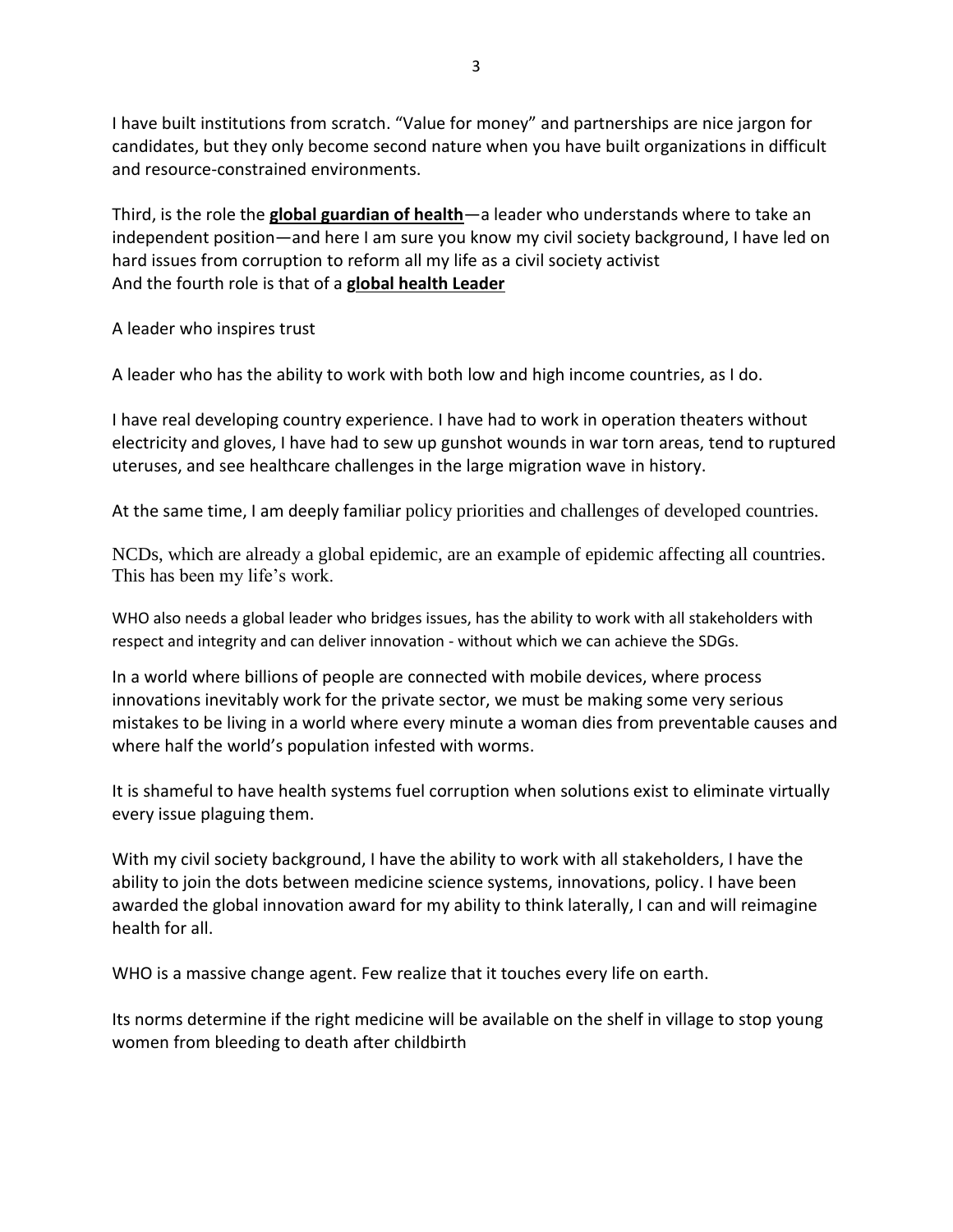I have built institutions from scratch. "Value for money" and partnerships are nice jargon for candidates, but they only become second nature when you have built organizations in difficult and resource-constrained environments.

Third, is the role the **global guardian of health**—a leader who understands where to take an independent position—and here I am sure you know my civil society background, I have led on hard issues from corruption to reform all my life as a civil society activist And the fourth role is that of a **global health Leader**

A leader who inspires trust

A leader who has the ability to work with both low and high income countries, as I do.

I have real developing country experience. I have had to work in operation theaters without electricity and gloves, I have had to sew up gunshot wounds in war torn areas, tend to ruptured uteruses, and see healthcare challenges in the large migration wave in history.

At the same time, I am deeply familiar policy priorities and challenges of developed countries.

NCDs, which are already a global epidemic, are an example of epidemic affecting all countries. This has been my life's work.

WHO also needs a global leader who bridges issues, has the ability to work with all stakeholders with respect and integrity and can deliver innovation - without which we can achieve the SDGs.

In a world where billions of people are connected with mobile devices, where process innovations inevitably work for the private sector, we must be making some very serious mistakes to be living in a world where every minute a woman dies from preventable causes and where half the world's population infested with worms.

It is shameful to have health systems fuel corruption when solutions exist to eliminate virtually every issue plaguing them.

With my civil society background, I have the ability to work with all stakeholders, I have the ability to join the dots between medicine science systems, innovations, policy. I have been awarded the global innovation award for my ability to think laterally, I can and will reimagine health for all.

WHO is a massive change agent. Few realize that it touches every life on earth.

Its norms determine if the right medicine will be available on the shelf in village to stop young women from bleeding to death after childbirth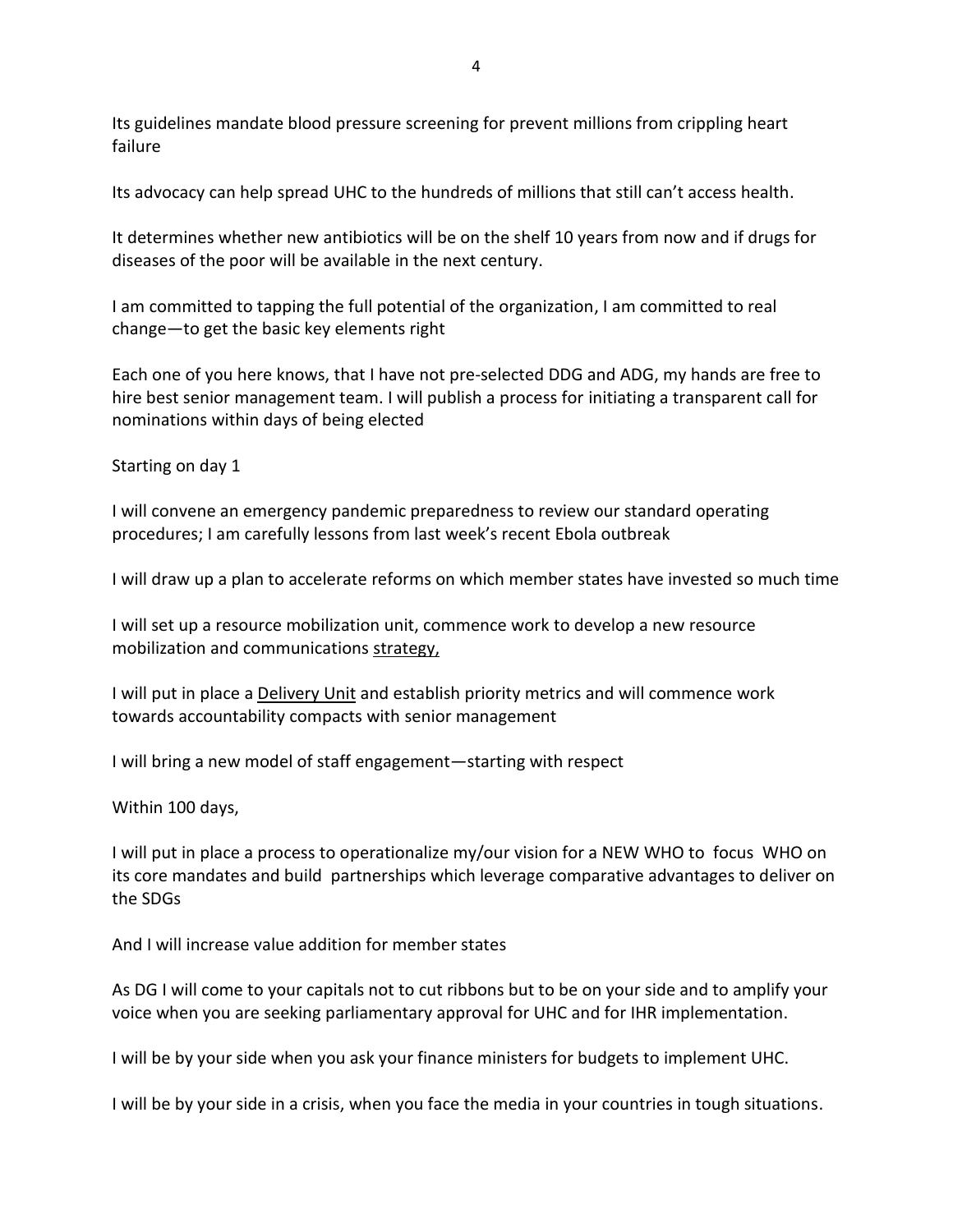Its guidelines mandate blood pressure screening for prevent millions from crippling heart failure

Its advocacy can help spread UHC to the hundreds of millions that still can't access health.

It determines whether new antibiotics will be on the shelf 10 years from now and if drugs for diseases of the poor will be available in the next century.

I am committed to tapping the full potential of the organization, I am committed to real change—to get the basic key elements right

Each one of you here knows, that I have not pre-selected DDG and ADG, my hands are free to hire best senior management team. I will publish a process for initiating a transparent call for nominations within days of being elected

Starting on day 1

I will convene an emergency pandemic preparedness to review our standard operating procedures; I am carefully lessons from last week's recent Ebola outbreak

I will draw up a plan to accelerate reforms on which member states have invested so much time

I will set up a resource mobilization unit, commence work to develop a new resource mobilization and communications strategy,

I will put in place a Delivery Unit and establish priority metrics and will commence work towards accountability compacts with senior management

I will bring a new model of staff engagement—starting with respect

Within 100 days,

I will put in place a process to operationalize my/our vision for a NEW WHO to focus WHO on its core mandates and build partnerships which leverage comparative advantages to deliver on the SDGs

And I will increase value addition for member states

As DG I will come to your capitals not to cut ribbons but to be on your side and to amplify your voice when you are seeking parliamentary approval for UHC and for IHR implementation.

I will be by your side when you ask your finance ministers for budgets to implement UHC.

I will be by your side in a crisis, when you face the media in your countries in tough situations.